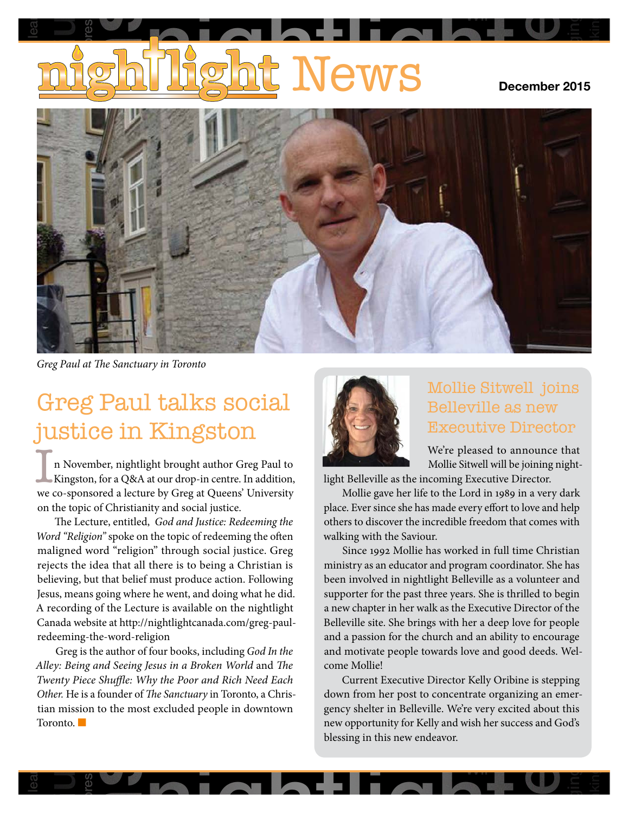# **becember 2015** Guelphia Friday lear pressi e<br>alcoholism

Wii

longing

rethinking



*Greg Paul at The Sanctuary in Toronto*

# Greg Paul talks social justice in Kingston

we co-sponsorea a lecture by Greg at Queens<br>on the topic of Christianity and social justice. In November, nightlight brought author Greg Paul to<br>Kingston, for a Q&A at our drop-in centre. In addition,<br>We co-sponsored a lecture by Greg at Queens' University Kingston, for a Q&A at our drop-in centre. In addition, we co-sponsored a lecture by Greg at Queens' University

maligned word "religion" through social justice. Greg<br>
rejects the idea that all there is to being a Christian is<br>
believing, but that belief must produce action. Following<br>
lesus means going where he went and doing what h eans<br>ding o<br>webs<br>ng-th<br>g is th<br>*eing a* re is available on the nightlight<br>nightlightcanada.com/greg-paul-<br>gion beneving, but that benef must produce action. Following<br>Jesus, means going where he went, and doing what he did. rejects the idea that an there is to being a Christian is a annuish-<br>believing, but that belief must produce action. Following been i belie<br>Jesus<br>A rec<br>Cana<br>redee<br>(<br>*Alley*. on the topic of Christianity and social justice.<br>The Lecture, entitled, *God and Justice: Redeeming the Word "Religion"* spoke on the topic of redeeming the often maligned word "religion" through social justice. Greg The Lecture, entitled, *God and Justice: Redeeming the Word "Religion"* spoke on the topic of redeeming the often rejects the idea that all there is to being a Christian is A recording of the Lecture is available on the nightlight Canada website at http://nightlightcanada.com/greg-paulredeeming-the-word-religion

ns going where ne went, and doing what he did.<br>
Supporter for the past three years. She is the going of the Lecture is available on the nightlight<br>
behicle at http://inghtlightcanada.com/greg-paul-<br>
Feb-word-religion<br>
chan Greg is the author of four books, including God In the Alley: Being and Seeing Jesus in a Broken World and The Twenty Piece Shuffle: Why the Poor and Rich Need Each Other. He is a founder of *The Sanctuary* in Toronto, a C tian mission to the most excluded people in downtown<br>Toronto.<br> new<br>bless ther. He i<br>an missi<br>pronto. em<br>Gre<br>: *B*<br>uty learn-controllers and controllers are controllers and controllers are controllers and controllers are controllers and controllers are controllers and controllers are controllers and controllers are controllers and controll Greg is the author of four books, including *God In the Alley: Being and Seeing Jesus in a Broken World* and *The Twenty Piece Shuffle: Why the Poor and Rich Need Each*  Toronto. ■

res



### Mollie Sitwell joins Belleville as new Executive Director

We're pleased to announce that Mollie Sitwell will be joining night-

**p** 

longing

loyalty

rethinking

light Belleville as the incoming Executive Director.

others to discover the incredible freedom that comes with<br>walking with the Saviour walking with the Saviour.<br>Since 1992 Mollie has Fire and Justice.<br>
Found in the state of the community of redeeming the state of the community of redeeming the others to discover the incredible freedom that comes with Mollie gave her life to the Lord in 1989 in a very dark

stry as an e<br>stry as an e<br>orter for the<br>orter for the wille site. S<br>a passion fi<br>motivate p<br>Mollie!<br>Current Ex been involved in nightlight Belleville as a volunteer and<br>supporter for the past three years. She is thrilled to begin<br>a new chapter in her walk as the Executive Director of the suppo<br>a new<br>Bellev<br>and a<br>and m<br>come Since 1992 Mollie has worked in full time Christian<br>istry as an educator and program coordinator. She has<br>a involved in nightlight Belleville as a volunteer and a new chapter in her waik as the executive Director of the<br>Belleville site. She brings with her a deep love for people<br>and a passion for the church and an ability to encourage and motivate people towards love and good deeds. Weltee<mark>:</mark><br>to l<br>r p ministry as an educator and program coordinator. She has an<br>gi<br>th<br>pl<br>ag supporter for the past three years. She is thrilled to begin a new chapter in her walk as the Executive Director of the Belleville site. She brings with her a deep love for people come Mollie!

le. We're very excited about this<br>y and wish her success and God's<br>eavor. e bring<br>r the ch<br>cople to<br>cutive I<br>post to<br>Bellevi<br>r for Kel<br>new end a Chris- down from her post to concentrate organizing an emer-<br>ntown gency shelter in Belleville. We're very excited about this<br>new opportunity for Kelly and wish her success and God's tea blessing in this new endeavor. c mome:<br>Current Executive Director Kelly Oribine is stepping<br>m from her post to concentrate organizing an emergency shelter in Belleville. We're very excited about this down from her post to concentrate organizing an emernew opportunity for Kelly and wish her success and God's

Wii